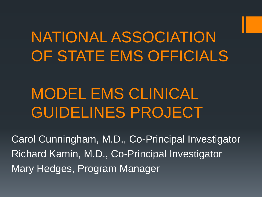## NATIONAL ASSOCIATION OF STATE EMS OFFICIALS

## MODEL EMS CLINICAL GUIDELINES PROJECT

Carol Cunningham, M.D., Co-Principal Investigator Richard Kamin, M.D., Co-Principal Investigator Mary Hedges, Program Manager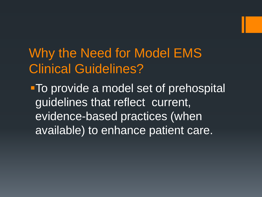#### Why the Need for Model EMS Clinical Guidelines?

To provide a model set of prehospital guidelines that reflect current, evidence-based practices (when available) to enhance patient care.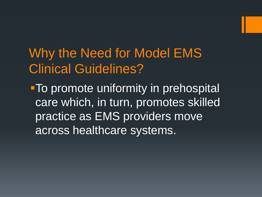Why the Need for Model EMS Clinical Guidelines?

**To promote uniformity in prehospital** care which, in turn, promotes skilled practice as EMS providers move across healthcare systems.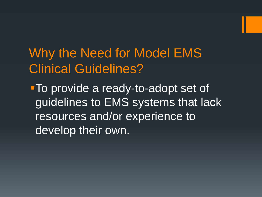Why the Need for Model EMS Clinical Guidelines?

**To provide a ready-to-adopt set of** guidelines to EMS systems that lack resources and/or experience to develop their own.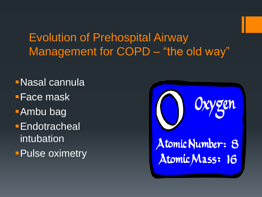#### Evolution of Prehospital Airway Management for COPD - "the old way"

Nasal cannula Face mask Ambu bag **Endotracheal** intubation **Pulse oximetry** 

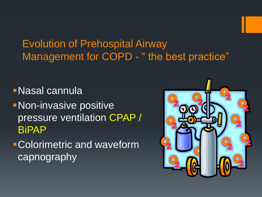#### Evolution of Prehospital Airway Management for COPD - " the best practice"

Nasal cannula

- **Non-invasive positive** pressure ventilation CPAP / BiPAP
- Colorimetric and waveform capnography

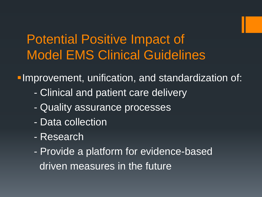#### Potential Positive Impact of Model EMS Clinical Guidelines

**Improvement, unification, and standardization of:** 

- Clinical and patient care delivery
- Quality assurance processes
- Data collection
- Research
- Provide a platform for evidence-based driven measures in the future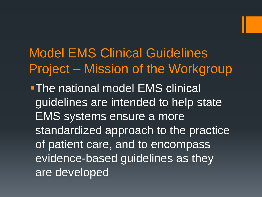Model EMS Clinical Guidelines Project – Mission of the Workgroup **-The national model EMS clinical** guidelines are intended to help state EMS systems ensure a more standardized approach to the practice of patient care, and to encompass evidence-based guidelines as they are developed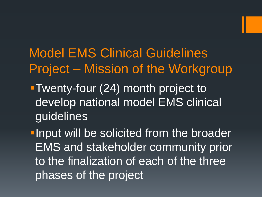#### Model EMS Clinical Guidelines Project – Mission of the Workgroup

Twenty-four (24) month project to develop national model EMS clinical guidelines

**-Input will be solicited from the broader** EMS and stakeholder community prior to the finalization of each of the three phases of the project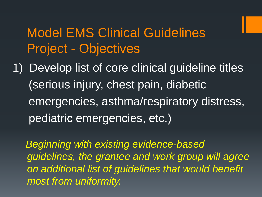#### Model EMS Clinical Guidelines Project - Objectives

1) Develop list of core clinical guideline titles (serious injury, chest pain, diabetic emergencies, asthma/respiratory distress, pediatric emergencies, etc.)

 *Beginning with existing evidence-based guidelines, the grantee and work group will agree on additional list of guidelines that would benefit most from uniformity.*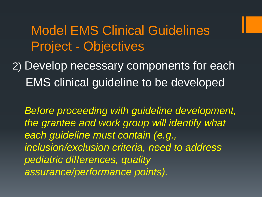#### Model EMS Clinical Guidelines Project - Objectives

2) Develop necessary components for each EMS clinical guideline to be developed

*Before proceeding with guideline development, the grantee and work group will identify what each guideline must contain (e.g., inclusion/exclusion criteria, need to address pediatric differences, quality assurance/performance points).*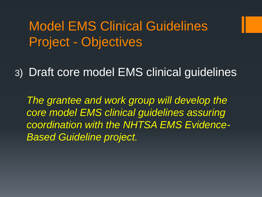#### Model EMS Clinical Guidelines Project - Objectives

3) Draft core model EMS clinical guidelines

*The grantee and work group will develop the core model EMS clinical guidelines assuring coordination with the NHTSA EMS Evidence-Based Guideline project.*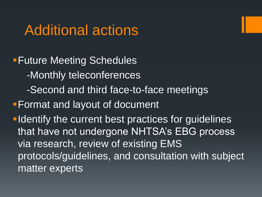#### Additional actions

**Future Meeting Schedules**  -Monthly teleconferences -Second and third face-to-face meetings **Format and layout of document I dentify the current best practices for guidelines** that have not undergone NHTSA's EBG process via research, review of existing EMS protocols/guidelines, and consultation with subject matter experts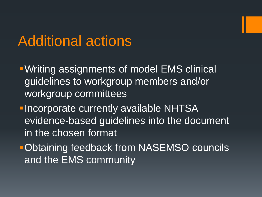#### Additional actions

- Writing assignments of model EMS clinical guidelines to workgroup members and/or workgroup committees
- **-Incorporate currently available NHTSA** evidence-based guidelines into the document in the chosen format
- **Obtaining feedback from NASEMSO councils** and the EMS community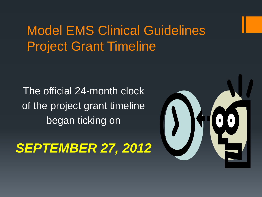#### Model EMS Clinical Guidelines Project Grant Timeline

The official 24-month clock of the project grant timeline began ticking on

#### *SEPTEMBER 27, 2012*

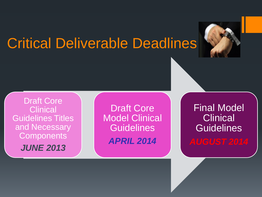### Critical Deliverable Deadlines



Draft Core **Clinical** Guidelines Titles and Necessary **Components** 

*JUNE 2013*

Draft Core Model Clinical **Guidelines** *APRIL 2014*

Final Model **Clinical Guidelines**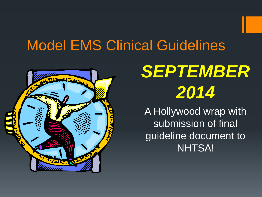### Model EMS Clinical Guidelines



# *SEPTEMBER 2014*

A Hollywood wrap with submission of final guideline document to NHTSA!